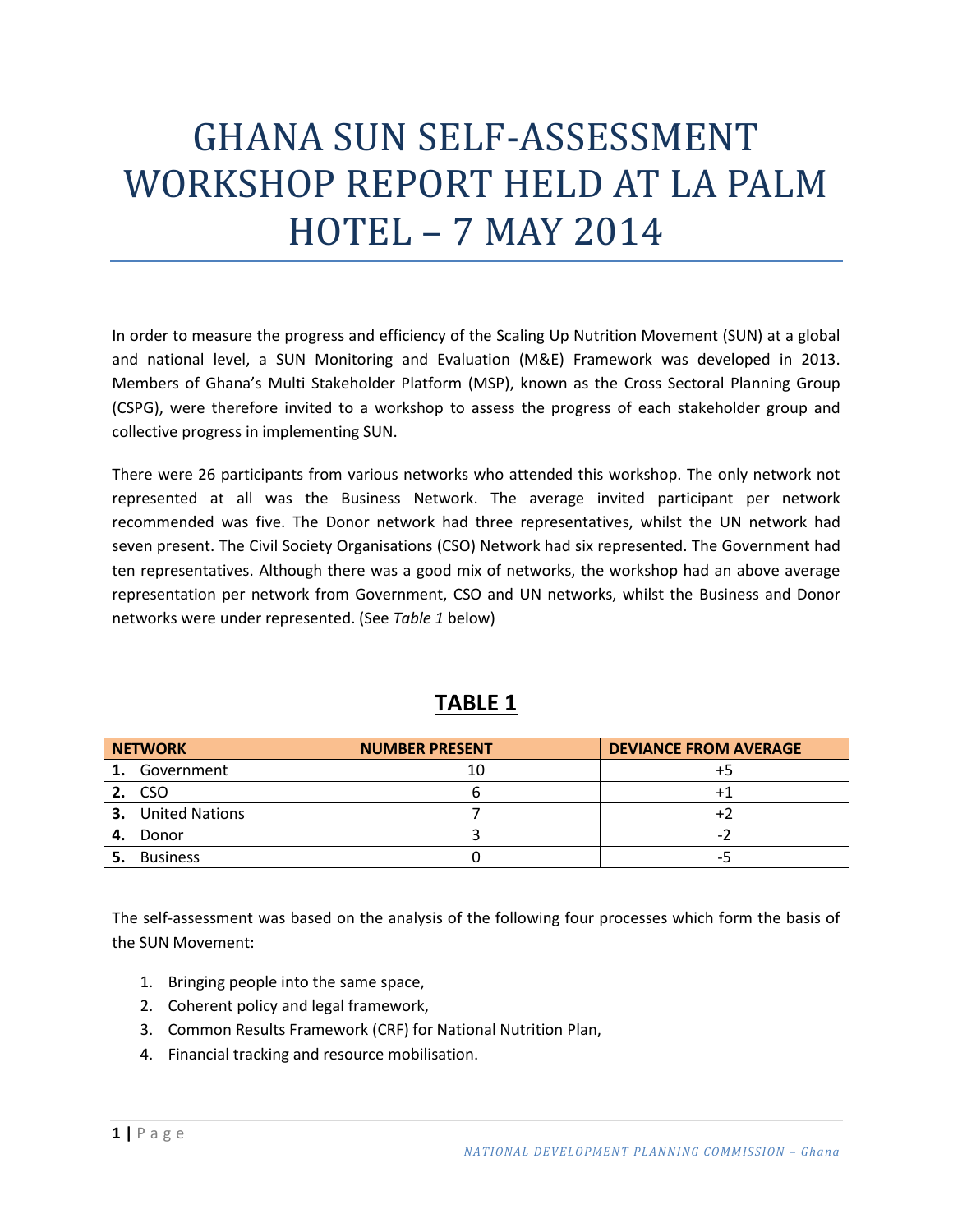# GHANA SUN SELF-ASSESSMENT WORKSHOP REPORT HELD AT LA PALM HOTEL – 7 MAY 2014

In order to measure the progress and efficiency of the Scaling Up Nutrition Movement (SUN) at a global and national level, a SUN Monitoring and Evaluation (M&E) Framework was developed in 2013. Members of Ghana's Multi Stakeholder Platform (MSP), known as the Cross Sectoral Planning Group (CSPG), were therefore invited to a workshop to assess the progress of each stakeholder group and collective progress in implementing SUN.

There were 26 participants from various networks who attended this workshop. The only network not represented at all was the Business Network. The average invited participant per network recommended was five. The Donor network had three representatives, whilst the UN network had seven present. The Civil Society Organisations (CSO) Network had six represented. The Government had ten representatives. Although there was a good mix of networks, the workshop had an above average representation per network from Government, CSO and UN networks, whilst the Business and Donor networks were under represented. (See *Table 1* below)

|    | <b>NETWORK</b>        | <b>NUMBER PRESENT</b> | <b>DEVIANCE FROM AVERAGE</b> |
|----|-----------------------|-----------------------|------------------------------|
| 1. | Government            |                       |                              |
|    | <b>CSO</b>            |                       |                              |
| 3. | <b>United Nations</b> |                       |                              |
| 4. | Donor                 |                       | -                            |
|    | <b>Business</b>       |                       | --                           |

### **TABLE 1**

The self-assessment was based on the analysis of the following four processes which form the basis of the SUN Movement:

- 1. Bringing people into the same space,
- 2. Coherent policy and legal framework,
- 3. Common Results Framework (CRF) for National Nutrition Plan,
- 4. Financial tracking and resource mobilisation.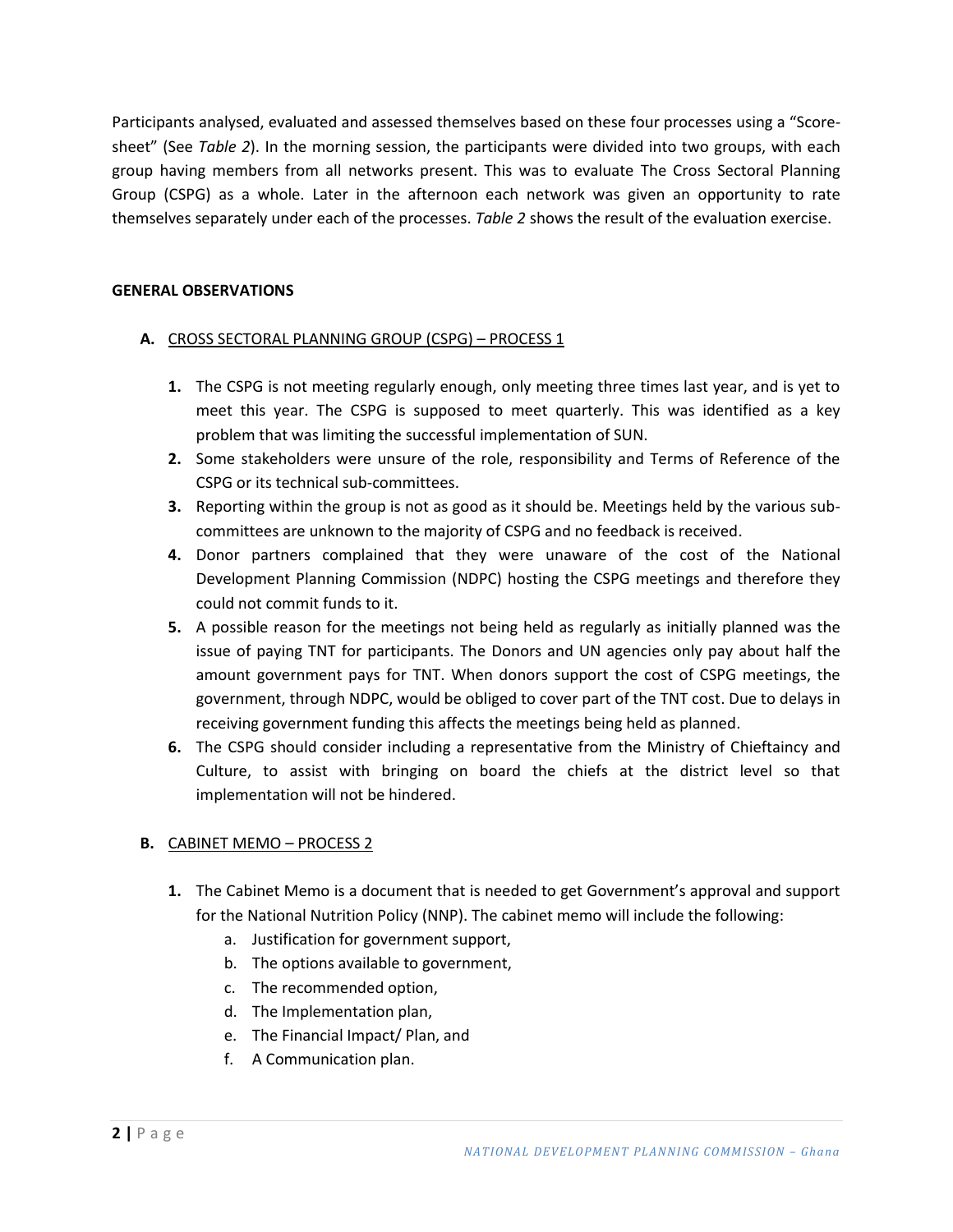Participants analysed, evaluated and assessed themselves based on these four processes using a "Scoresheet" (See *Table 2*). In the morning session, the participants were divided into two groups, with each group having members from all networks present. This was to evaluate The Cross Sectoral Planning Group (CSPG) as a whole. Later in the afternoon each network was given an opportunity to rate themselves separately under each of the processes. *Table 2* shows the result of the evaluation exercise.

#### **GENERAL OBSERVATIONS**

- **A.** CROSS SECTORAL PLANNING GROUP (CSPG) PROCESS 1
	- **1.** The CSPG is not meeting regularly enough, only meeting three times last year, and is yet to meet this year. The CSPG is supposed to meet quarterly. This was identified as a key problem that was limiting the successful implementation of SUN.
	- **2.** Some stakeholders were unsure of the role, responsibility and Terms of Reference of the CSPG or its technical sub-committees.
	- **3.** Reporting within the group is not as good as it should be. Meetings held by the various subcommittees are unknown to the majority of CSPG and no feedback is received.
	- **4.** Donor partners complained that they were unaware of the cost of the National Development Planning Commission (NDPC) hosting the CSPG meetings and therefore they could not commit funds to it.
	- **5.** A possible reason for the meetings not being held as regularly as initially planned was the issue of paying TNT for participants. The Donors and UN agencies only pay about half the amount government pays for TNT. When donors support the cost of CSPG meetings, the government, through NDPC, would be obliged to cover part of the TNT cost. Due to delays in receiving government funding this affects the meetings being held as planned.
	- **6.** The CSPG should consider including a representative from the Ministry of Chieftaincy and Culture, to assist with bringing on board the chiefs at the district level so that implementation will not be hindered.

#### **B.** CABINET MEMO – PROCESS 2

- **1.** The Cabinet Memo is a document that is needed to get Government's approval and support for the National Nutrition Policy (NNP). The cabinet memo will include the following:
	- a. Justification for government support,
	- b. The options available to government,
	- c. The recommended option,
	- d. The Implementation plan,
	- e. The Financial Impact/ Plan, and
	- f. A Communication plan.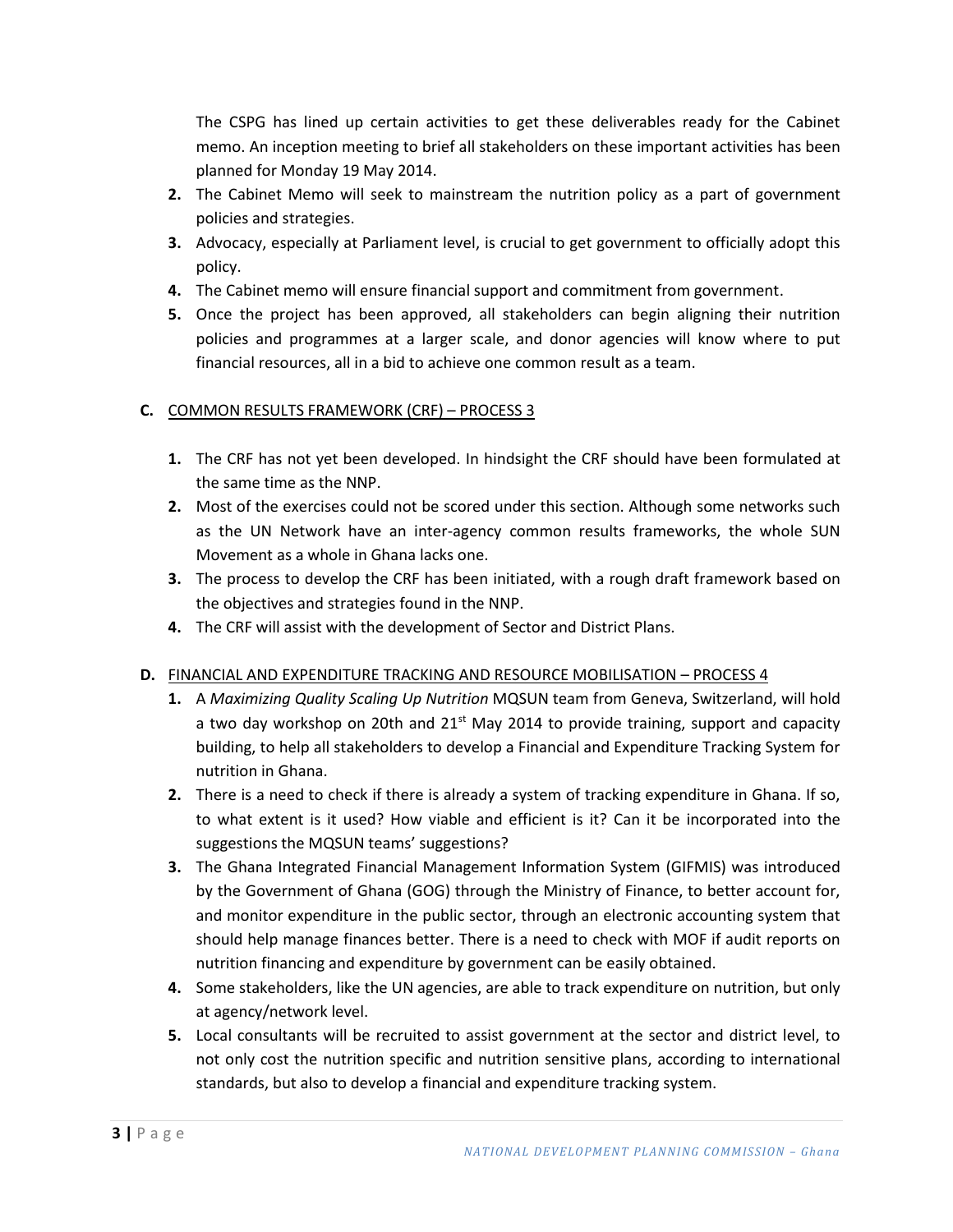The CSPG has lined up certain activities to get these deliverables ready for the Cabinet memo. An inception meeting to brief all stakeholders on these important activities has been planned for Monday 19 May 2014.

- **2.** The Cabinet Memo will seek to mainstream the nutrition policy as a part of government policies and strategies.
- **3.** Advocacy, especially at Parliament level, is crucial to get government to officially adopt this policy.
- **4.** The Cabinet memo will ensure financial support and commitment from government.
- **5.** Once the project has been approved, all stakeholders can begin aligning their nutrition policies and programmes at a larger scale, and donor agencies will know where to put financial resources, all in a bid to achieve one common result as a team.

#### **C.** COMMON RESULTS FRAMEWORK (CRF) – PROCESS 3

- **1.** The CRF has not yet been developed. In hindsight the CRF should have been formulated at the same time as the NNP.
- **2.** Most of the exercises could not be scored under this section. Although some networks such as the UN Network have an inter-agency common results frameworks, the whole SUN Movement as a whole in Ghana lacks one.
- **3.** The process to develop the CRF has been initiated, with a rough draft framework based on the objectives and strategies found in the NNP.
- **4.** The CRF will assist with the development of Sector and District Plans.

#### **D.** FINANCIAL AND EXPENDITURE TRACKING AND RESOURCE MOBILISATION – PROCESS 4

- **1.** A *Maximizing Quality Scaling Up Nutrition* MQSUN team from Geneva, Switzerland, will hold a two day workshop on 20th and  $21^{st}$  May 2014 to provide training, support and capacity building, to help all stakeholders to develop a Financial and Expenditure Tracking System for nutrition in Ghana.
- **2.** There is a need to check if there is already a system of tracking expenditure in Ghana. If so, to what extent is it used? How viable and efficient is it? Can it be incorporated into the suggestions the MQSUN teams' suggestions?
- **3.** The Ghana Integrated Financial Management Information System (GIFMIS) was introduced by the Government of Ghana (GOG) through the Ministry of Finance, to better account for, and monitor expenditure in the public sector, through an electronic accounting system that should help manage finances better. There is a need to check with MOF if audit reports on nutrition financing and expenditure by government can be easily obtained.
- **4.** Some stakeholders, like the UN agencies, are able to track expenditure on nutrition, but only at agency/network level.
- **5.** Local consultants will be recruited to assist government at the sector and district level, to not only cost the nutrition specific and nutrition sensitive plans, according to international standards, but also to develop a financial and expenditure tracking system.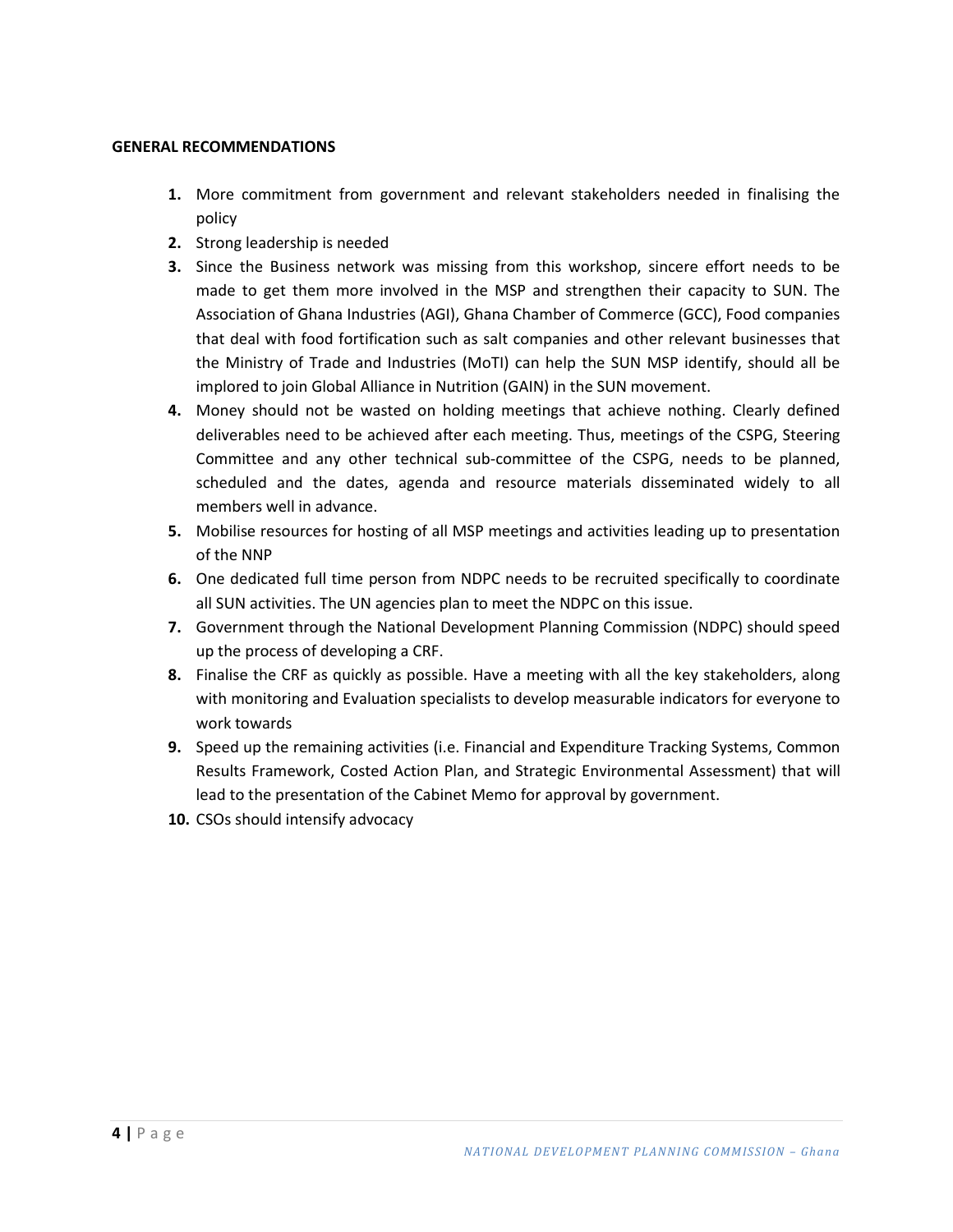#### **GENERAL RECOMMENDATIONS**

- **1.** More commitment from government and relevant stakeholders needed in finalising the policy
- **2.** Strong leadership is needed
- **3.** Since the Business network was missing from this workshop, sincere effort needs to be made to get them more involved in the MSP and strengthen their capacity to SUN. The Association of Ghana Industries (AGI), Ghana Chamber of Commerce (GCC), Food companies that deal with food fortification such as salt companies and other relevant businesses that the Ministry of Trade and Industries (MoTI) can help the SUN MSP identify, should all be implored to join Global Alliance in Nutrition (GAIN) in the SUN movement.
- **4.** Money should not be wasted on holding meetings that achieve nothing. Clearly defined deliverables need to be achieved after each meeting. Thus, meetings of the CSPG, Steering Committee and any other technical sub-committee of the CSPG, needs to be planned, scheduled and the dates, agenda and resource materials disseminated widely to all members well in advance.
- **5.** Mobilise resources for hosting of all MSP meetings and activities leading up to presentation of the NNP
- **6.** One dedicated full time person from NDPC needs to be recruited specifically to coordinate all SUN activities. The UN agencies plan to meet the NDPC on this issue.
- **7.** Government through the National Development Planning Commission (NDPC) should speed up the process of developing a CRF.
- **8.** Finalise the CRF as quickly as possible. Have a meeting with all the key stakeholders, along with monitoring and Evaluation specialists to develop measurable indicators for everyone to work towards
- **9.** Speed up the remaining activities (i.e. Financial and Expenditure Tracking Systems, Common Results Framework, Costed Action Plan, and Strategic Environmental Assessment) that will lead to the presentation of the Cabinet Memo for approval by government.
- **10.** CSOs should intensify advocacy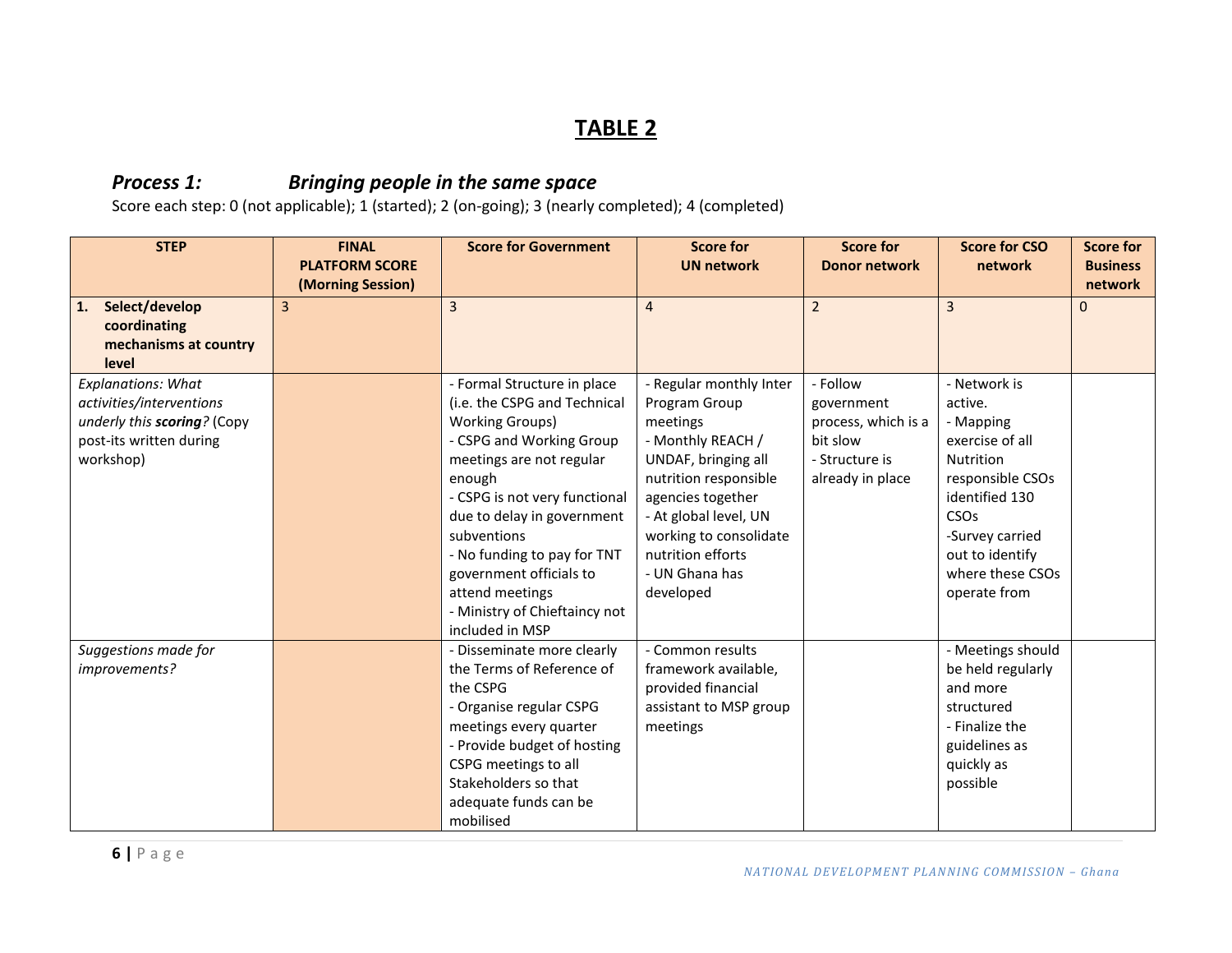## **TABLE 2**

#### *Process 1: Bringing people in the same space*

| <b>STEP</b>                 | <b>FINAL</b><br><b>PLATFORM SCORE</b> | <b>Score for Government</b>   | <b>Score for</b><br><b>Score for</b><br><b>UN network</b><br><b>Donor network</b> |                     | <b>Score for CSO</b><br>network | <b>Score for</b><br><b>Business</b> |
|-----------------------------|---------------------------------------|-------------------------------|-----------------------------------------------------------------------------------|---------------------|---------------------------------|-------------------------------------|
|                             | (Morning Session)                     |                               |                                                                                   |                     |                                 | network                             |
| Select/develop<br>1.        | 3                                     | $\overline{3}$                | $\overline{4}$                                                                    | $\overline{2}$      | $\overline{3}$                  | $\Omega$                            |
| coordinating                |                                       |                               |                                                                                   |                     |                                 |                                     |
| mechanisms at country       |                                       |                               |                                                                                   |                     |                                 |                                     |
| level                       |                                       |                               |                                                                                   |                     |                                 |                                     |
| <b>Explanations: What</b>   |                                       | - Formal Structure in place   | - Regular monthly Inter                                                           | - Follow            | - Network is                    |                                     |
| activities/interventions    |                                       | (i.e. the CSPG and Technical  | Program Group                                                                     | government          | active.                         |                                     |
| underly this scoring? (Copy |                                       | <b>Working Groups)</b>        | meetings                                                                          | process, which is a | - Mapping                       |                                     |
| post-its written during     |                                       | - CSPG and Working Group      | - Monthly REACH /                                                                 | bit slow            | exercise of all                 |                                     |
| workshop)                   |                                       | meetings are not regular      | UNDAF, bringing all                                                               | - Structure is      | Nutrition                       |                                     |
|                             |                                       | enough                        | nutrition responsible                                                             | already in place    | responsible CSOs                |                                     |
|                             |                                       | - CSPG is not very functional | agencies together                                                                 |                     | identified 130                  |                                     |
|                             |                                       | due to delay in government    | - At global level, UN                                                             |                     | CSOs                            |                                     |
|                             |                                       | subventions                   | working to consolidate                                                            |                     | -Survey carried                 |                                     |
|                             |                                       | - No funding to pay for TNT   | nutrition efforts                                                                 |                     | out to identify                 |                                     |
|                             |                                       | government officials to       | - UN Ghana has                                                                    |                     | where these CSOs                |                                     |
|                             |                                       | attend meetings               | developed                                                                         |                     | operate from                    |                                     |
|                             |                                       | - Ministry of Chieftaincy not |                                                                                   |                     |                                 |                                     |
|                             |                                       | included in MSP               |                                                                                   |                     |                                 |                                     |
| Suggestions made for        |                                       | - Disseminate more clearly    | - Common results                                                                  |                     | - Meetings should               |                                     |
| improvements?               |                                       | the Terms of Reference of     | framework available,                                                              |                     | be held regularly               |                                     |
|                             |                                       | the CSPG                      | provided financial                                                                |                     | and more                        |                                     |
|                             |                                       | - Organise regular CSPG       | assistant to MSP group                                                            |                     | structured                      |                                     |
|                             |                                       | meetings every quarter        | meetings                                                                          |                     | - Finalize the                  |                                     |
|                             |                                       | - Provide budget of hosting   |                                                                                   |                     | guidelines as                   |                                     |
|                             |                                       | CSPG meetings to all          |                                                                                   |                     | quickly as                      |                                     |
|                             |                                       | Stakeholders so that          |                                                                                   |                     | possible                        |                                     |
|                             |                                       | adequate funds can be         |                                                                                   |                     |                                 |                                     |
|                             |                                       | mobilised                     |                                                                                   |                     |                                 |                                     |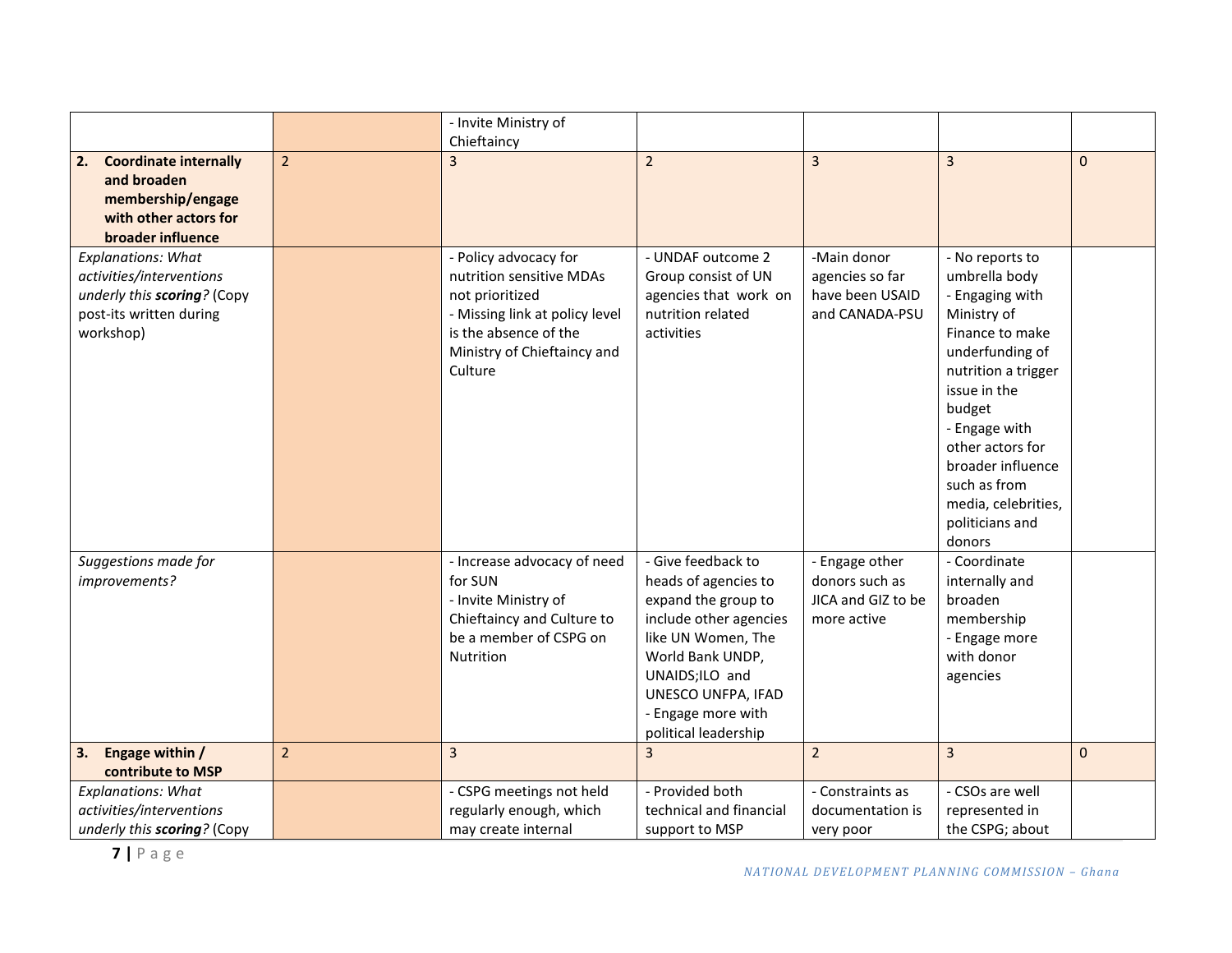|                                            |                | - Invite Ministry of<br>Chieftaincy |                                          |                    |                                   |              |
|--------------------------------------------|----------------|-------------------------------------|------------------------------------------|--------------------|-----------------------------------|--------------|
| <b>Coordinate internally</b><br>2.         | $\overline{2}$ | $\overline{\mathbf{z}}$             | $\overline{2}$                           | $\overline{3}$     | $\overline{3}$                    | $\mathbf{0}$ |
| and broaden                                |                |                                     |                                          |                    |                                   |              |
| membership/engage<br>with other actors for |                |                                     |                                          |                    |                                   |              |
| broader influence                          |                |                                     |                                          |                    |                                   |              |
| <b>Explanations: What</b>                  |                | - Policy advocacy for               | - UNDAF outcome 2                        | -Main donor        | - No reports to                   |              |
| activities/interventions                   |                | nutrition sensitive MDAs            | Group consist of UN                      | agencies so far    | umbrella body                     |              |
| underly this scoring? (Copy                |                | not prioritized                     | agencies that work on                    | have been USAID    | - Engaging with                   |              |
| post-its written during                    |                | - Missing link at policy level      | nutrition related                        | and CANADA-PSU     | Ministry of                       |              |
| workshop)                                  |                | is the absence of the               | activities                               |                    | Finance to make                   |              |
|                                            |                | Ministry of Chieftaincy and         |                                          |                    | underfunding of                   |              |
|                                            |                | Culture                             |                                          |                    | nutrition a trigger               |              |
|                                            |                |                                     |                                          |                    | issue in the                      |              |
|                                            |                |                                     |                                          |                    | budget                            |              |
|                                            |                |                                     |                                          |                    | - Engage with<br>other actors for |              |
|                                            |                |                                     |                                          |                    | broader influence                 |              |
|                                            |                |                                     |                                          |                    | such as from                      |              |
|                                            |                |                                     |                                          |                    | media, celebrities,               |              |
|                                            |                |                                     |                                          |                    | politicians and                   |              |
|                                            |                |                                     |                                          |                    | donors                            |              |
| Suggestions made for                       |                | - Increase advocacy of need         | - Give feedback to                       | - Engage other     | - Coordinate                      |              |
| improvements?                              |                | for SUN                             | heads of agencies to                     | donors such as     | internally and                    |              |
|                                            |                | - Invite Ministry of                | expand the group to                      | JICA and GIZ to be | broaden                           |              |
|                                            |                | Chieftaincy and Culture to          | include other agencies                   | more active        | membership                        |              |
|                                            |                | be a member of CSPG on              | like UN Women, The                       |                    | - Engage more                     |              |
|                                            |                | Nutrition                           | World Bank UNDP,                         |                    | with donor                        |              |
|                                            |                |                                     | UNAIDS;ILO and                           |                    | agencies                          |              |
|                                            |                |                                     | UNESCO UNFPA, IFAD<br>- Engage more with |                    |                                   |              |
|                                            |                |                                     | political leadership                     |                    |                                   |              |
| Engage within /<br>3.                      | $\overline{2}$ | 3                                   | $\overline{3}$                           | $\overline{2}$     | $\overline{3}$                    | $\mathbf 0$  |
| contribute to MSP                          |                |                                     |                                          |                    |                                   |              |
| <b>Explanations: What</b>                  |                | - CSPG meetings not held            | - Provided both                          | - Constraints as   | - CSOs are well                   |              |
| activities/interventions                   |                | regularly enough, which             | technical and financial                  | documentation is   | represented in                    |              |
| underly this scoring? (Copy                |                | may create internal                 | support to MSP                           | very poor          | the CSPG; about                   |              |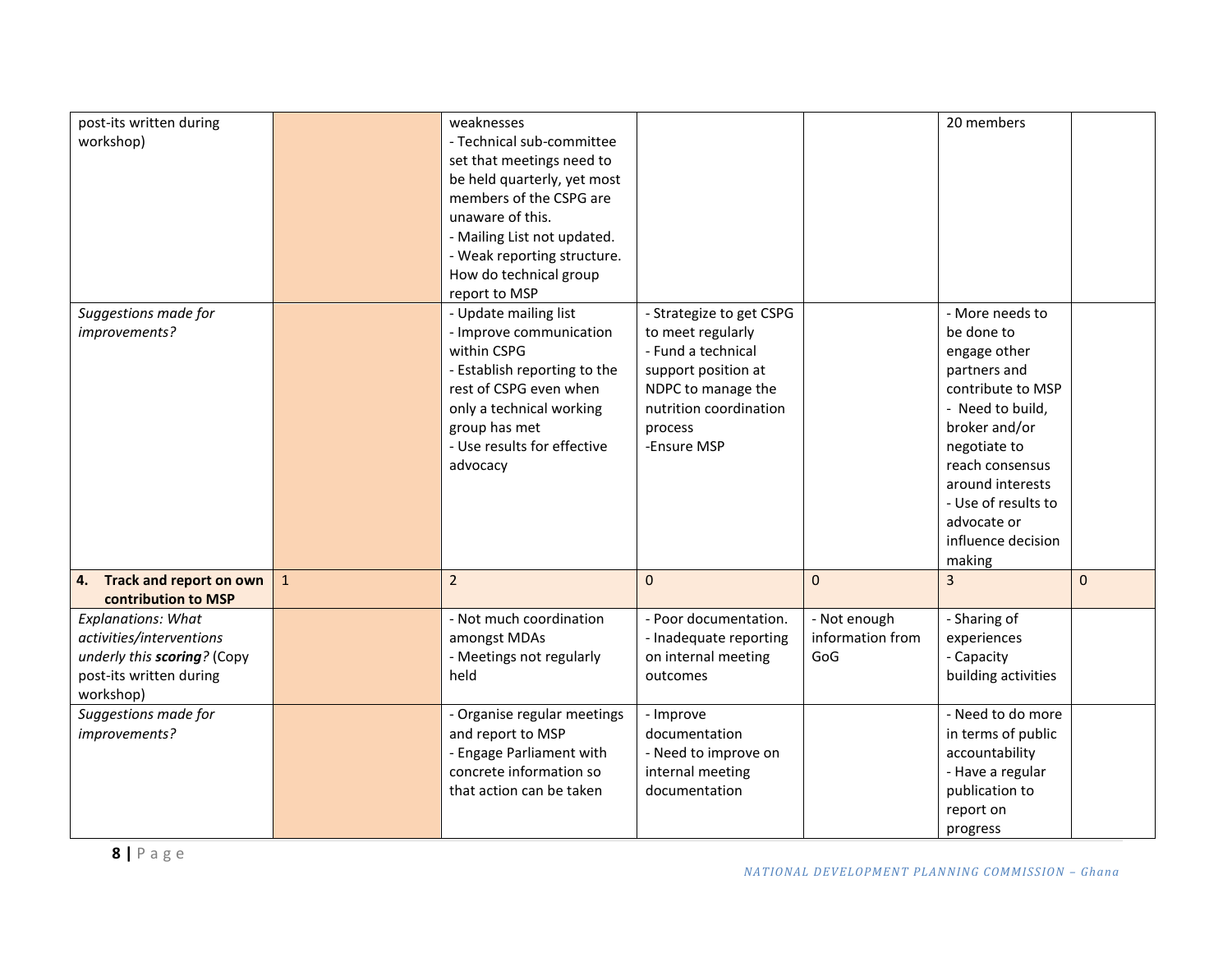| post-its written during<br>workshop)                                                                                         |              | weaknesses<br>- Technical sub-committee<br>set that meetings need to<br>be held quarterly, yet most<br>members of the CSPG are<br>unaware of this.<br>- Mailing List not updated.<br>- Weak reporting structure.<br>How do technical group<br>report to MSP |                                                                                                                                                                      |                                         | 20 members                                                                                                                                                                                                                                           |           |
|------------------------------------------------------------------------------------------------------------------------------|--------------|-------------------------------------------------------------------------------------------------------------------------------------------------------------------------------------------------------------------------------------------------------------|----------------------------------------------------------------------------------------------------------------------------------------------------------------------|-----------------------------------------|------------------------------------------------------------------------------------------------------------------------------------------------------------------------------------------------------------------------------------------------------|-----------|
| Suggestions made for<br>improvements?                                                                                        |              | - Update mailing list<br>- Improve communication<br>within CSPG<br>- Establish reporting to the<br>rest of CSPG even when<br>only a technical working<br>group has met<br>- Use results for effective<br>advocacy                                           | - Strategize to get CSPG<br>to meet regularly<br>- Fund a technical<br>support position at<br>NDPC to manage the<br>nutrition coordination<br>process<br>-Ensure MSP |                                         | - More needs to<br>be done to<br>engage other<br>partners and<br>contribute to MSP<br>- Need to build,<br>broker and/or<br>negotiate to<br>reach consensus<br>around interests<br>- Use of results to<br>advocate or<br>influence decision<br>making |           |
| 4. Track and report on own<br>contribution to MSP                                                                            | $\mathbf{1}$ | $\overline{2}$                                                                                                                                                                                                                                              | $\mathbf{0}$                                                                                                                                                         | $\mathbf{0}$                            | 3                                                                                                                                                                                                                                                    | $\pmb{0}$ |
| <b>Explanations: What</b><br>activities/interventions<br>underly this scoring? (Copy<br>post-its written during<br>workshop) |              | - Not much coordination<br>amongst MDAs<br>- Meetings not regularly<br>held                                                                                                                                                                                 | - Poor documentation.<br>- Inadequate reporting<br>on internal meeting<br>outcomes                                                                                   | - Not enough<br>information from<br>GoG | - Sharing of<br>experiences<br>- Capacity<br>building activities                                                                                                                                                                                     |           |
| Suggestions made for<br>improvements?                                                                                        |              | - Organise regular meetings<br>and report to MSP<br>- Engage Parliament with<br>concrete information so<br>that action can be taken                                                                                                                         | - Improve<br>documentation<br>- Need to improve on<br>internal meeting<br>documentation                                                                              |                                         | - Need to do more<br>in terms of public<br>accountability<br>- Have a regular<br>publication to<br>report on<br>progress                                                                                                                             |           |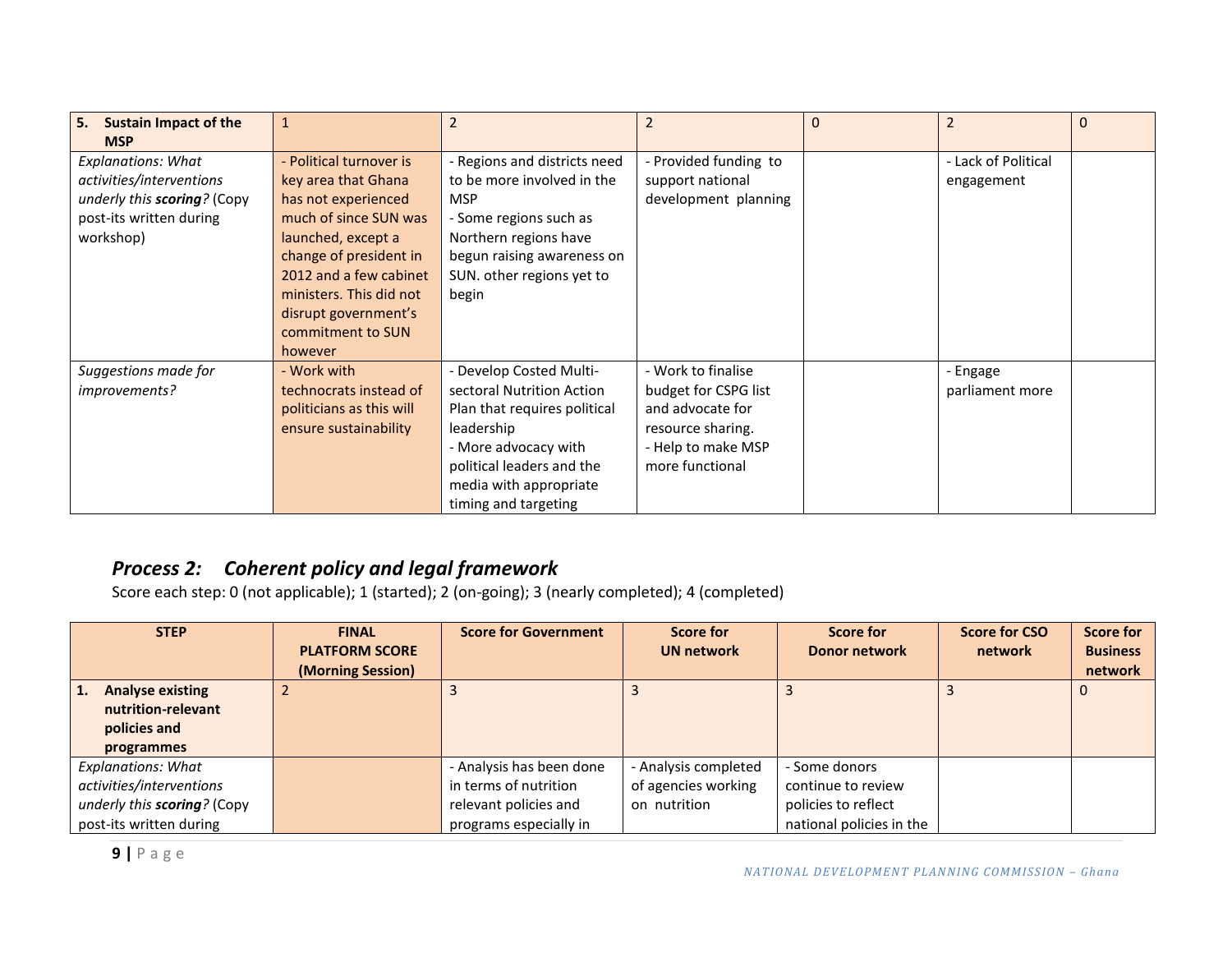| <b>Sustain Impact of the</b><br>5.<br><b>MSP</b> | 1                        | $\overline{2}$               | $\overline{2}$       | $\Omega$ | $\overline{2}$      | $\Omega$ |
|--------------------------------------------------|--------------------------|------------------------------|----------------------|----------|---------------------|----------|
| <b>Explanations: What</b>                        | - Political turnover is  | - Regions and districts need | Provided funding to  |          | - Lack of Political |          |
| activities/interventions                         | key area that Ghana      | to be more involved in the   | support national     |          | engagement          |          |
| underly this scoring? (Copy                      | has not experienced      | <b>MSP</b>                   | development planning |          |                     |          |
| post-its written during                          | much of since SUN was    | - Some regions such as       |                      |          |                     |          |
| workshop)                                        | launched, except a       | Northern regions have        |                      |          |                     |          |
|                                                  | change of president in   | begun raising awareness on   |                      |          |                     |          |
|                                                  | 2012 and a few cabinet   | SUN. other regions yet to    |                      |          |                     |          |
|                                                  | ministers. This did not  | begin                        |                      |          |                     |          |
|                                                  | disrupt government's     |                              |                      |          |                     |          |
|                                                  | commitment to SUN        |                              |                      |          |                     |          |
|                                                  | however                  |                              |                      |          |                     |          |
| Suggestions made for                             | - Work with              | - Develop Costed Multi-      | - Work to finalise   |          | - Engage            |          |
| improvements?                                    | technocrats instead of   | sectoral Nutrition Action    | budget for CSPG list |          | parliament more     |          |
|                                                  | politicians as this will | Plan that requires political | and advocate for     |          |                     |          |
|                                                  | ensure sustainability    | leadership                   | resource sharing.    |          |                     |          |
|                                                  |                          | - More advocacy with         | - Help to make MSP   |          |                     |          |
|                                                  |                          | political leaders and the    | more functional      |          |                     |          |
|                                                  |                          | media with appropriate       |                      |          |                     |          |
|                                                  |                          | timing and targeting         |                      |          |                     |          |

### *Process 2: Coherent policy and legal framework*

| <b>STEP</b>                 | <b>FINAL</b><br><b>PLATFORM SCORE</b><br>(Morning Session) | <b>Score for Government</b> | Score for<br><b>UN network</b> | Score for<br><b>Donor network</b> | <b>Score for CSO</b><br>network | Score for<br><b>Business</b><br>network |
|-----------------------------|------------------------------------------------------------|-----------------------------|--------------------------------|-----------------------------------|---------------------------------|-----------------------------------------|
| <b>Analyse existing</b>     |                                                            |                             |                                |                                   |                                 | U                                       |
| nutrition-relevant          |                                                            |                             |                                |                                   |                                 |                                         |
| policies and                |                                                            |                             |                                |                                   |                                 |                                         |
| programmes                  |                                                            |                             |                                |                                   |                                 |                                         |
| <b>Explanations: What</b>   |                                                            | - Analysis has been done    | - Analysis completed           | - Some donors                     |                                 |                                         |
| activities/interventions    |                                                            | in terms of nutrition       | of agencies working            | continue to review                |                                 |                                         |
| underly this scoring? (Copy |                                                            | relevant policies and       | on nutrition                   | policies to reflect               |                                 |                                         |
| post-its written during     |                                                            | programs especially in      |                                | national policies in the          |                                 |                                         |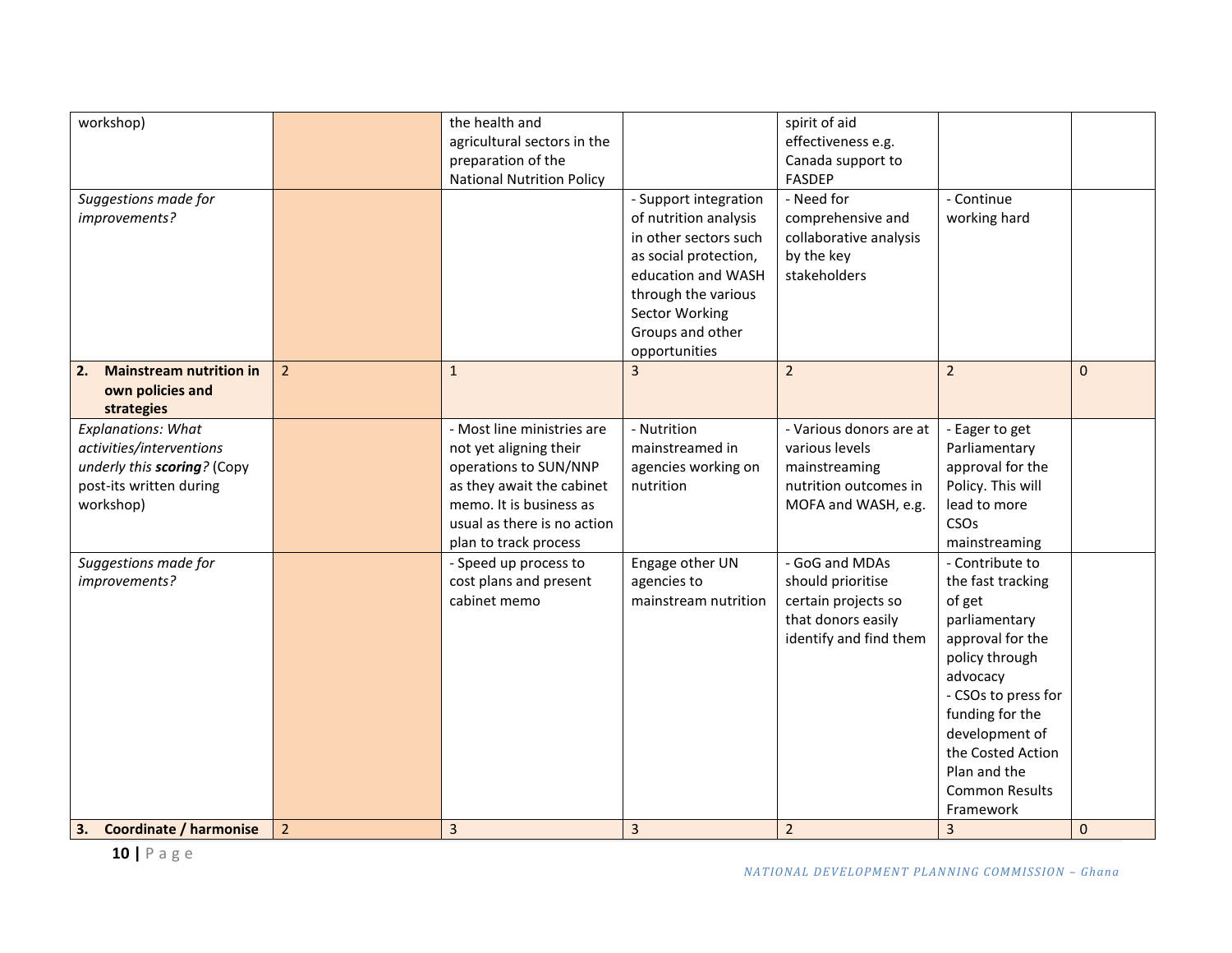| workshop)                            |                | the health and                   |                       | spirit of aid           |                       |              |
|--------------------------------------|----------------|----------------------------------|-----------------------|-------------------------|-----------------------|--------------|
|                                      |                | agricultural sectors in the      |                       | effectiveness e.g.      |                       |              |
|                                      |                | preparation of the               |                       | Canada support to       |                       |              |
|                                      |                | <b>National Nutrition Policy</b> |                       | <b>FASDEP</b>           |                       |              |
| Suggestions made for                 |                |                                  | - Support integration | - Need for              | - Continue            |              |
| improvements?                        |                |                                  | of nutrition analysis | comprehensive and       | working hard          |              |
|                                      |                |                                  | in other sectors such | collaborative analysis  |                       |              |
|                                      |                |                                  | as social protection, | by the key              |                       |              |
|                                      |                |                                  | education and WASH    | stakeholders            |                       |              |
|                                      |                |                                  | through the various   |                         |                       |              |
|                                      |                |                                  | <b>Sector Working</b> |                         |                       |              |
|                                      |                |                                  | Groups and other      |                         |                       |              |
|                                      |                |                                  | opportunities         |                         |                       |              |
| <b>Mainstream nutrition in</b><br>2. | 2 <sup>2</sup> | $\mathbf{1}$                     | 3                     | $\overline{2}$          | $\overline{2}$        | $\mathbf 0$  |
| own policies and                     |                |                                  |                       |                         |                       |              |
| strategies                           |                |                                  |                       |                         |                       |              |
| <b>Explanations: What</b>            |                | - Most line ministries are       | - Nutrition           | - Various donors are at | - Eager to get        |              |
| activities/interventions             |                | not yet aligning their           | mainstreamed in       | various levels          | Parliamentary         |              |
| underly this scoring? (Copy          |                | operations to SUN/NNP            | agencies working on   | mainstreaming           | approval for the      |              |
| post-its written during              |                | as they await the cabinet        | nutrition             | nutrition outcomes in   | Policy. This will     |              |
| workshop)                            |                | memo. It is business as          |                       | MOFA and WASH, e.g.     | lead to more          |              |
|                                      |                | usual as there is no action      |                       |                         | CSOs                  |              |
|                                      |                | plan to track process            |                       |                         | mainstreaming         |              |
| Suggestions made for                 |                | - Speed up process to            | Engage other UN       | - GoG and MDAs          | - Contribute to       |              |
| improvements?                        |                | cost plans and present           | agencies to           | should prioritise       | the fast tracking     |              |
|                                      |                | cabinet memo                     | mainstream nutrition  | certain projects so     | of get                |              |
|                                      |                |                                  |                       | that donors easily      | parliamentary         |              |
|                                      |                |                                  |                       | identify and find them  | approval for the      |              |
|                                      |                |                                  |                       |                         | policy through        |              |
|                                      |                |                                  |                       |                         | advocacy              |              |
|                                      |                |                                  |                       |                         | - CSOs to press for   |              |
|                                      |                |                                  |                       |                         | funding for the       |              |
|                                      |                |                                  |                       |                         | development of        |              |
|                                      |                |                                  |                       |                         | the Costed Action     |              |
|                                      |                |                                  |                       |                         | Plan and the          |              |
|                                      |                |                                  |                       |                         | <b>Common Results</b> |              |
|                                      |                |                                  |                       |                         | Framework             |              |
| <b>Coordinate / harmonise</b><br>3.  | $\overline{2}$ | $\overline{3}$                   | $\overline{3}$        | $\overline{2}$          | $\overline{3}$        | $\mathbf{0}$ |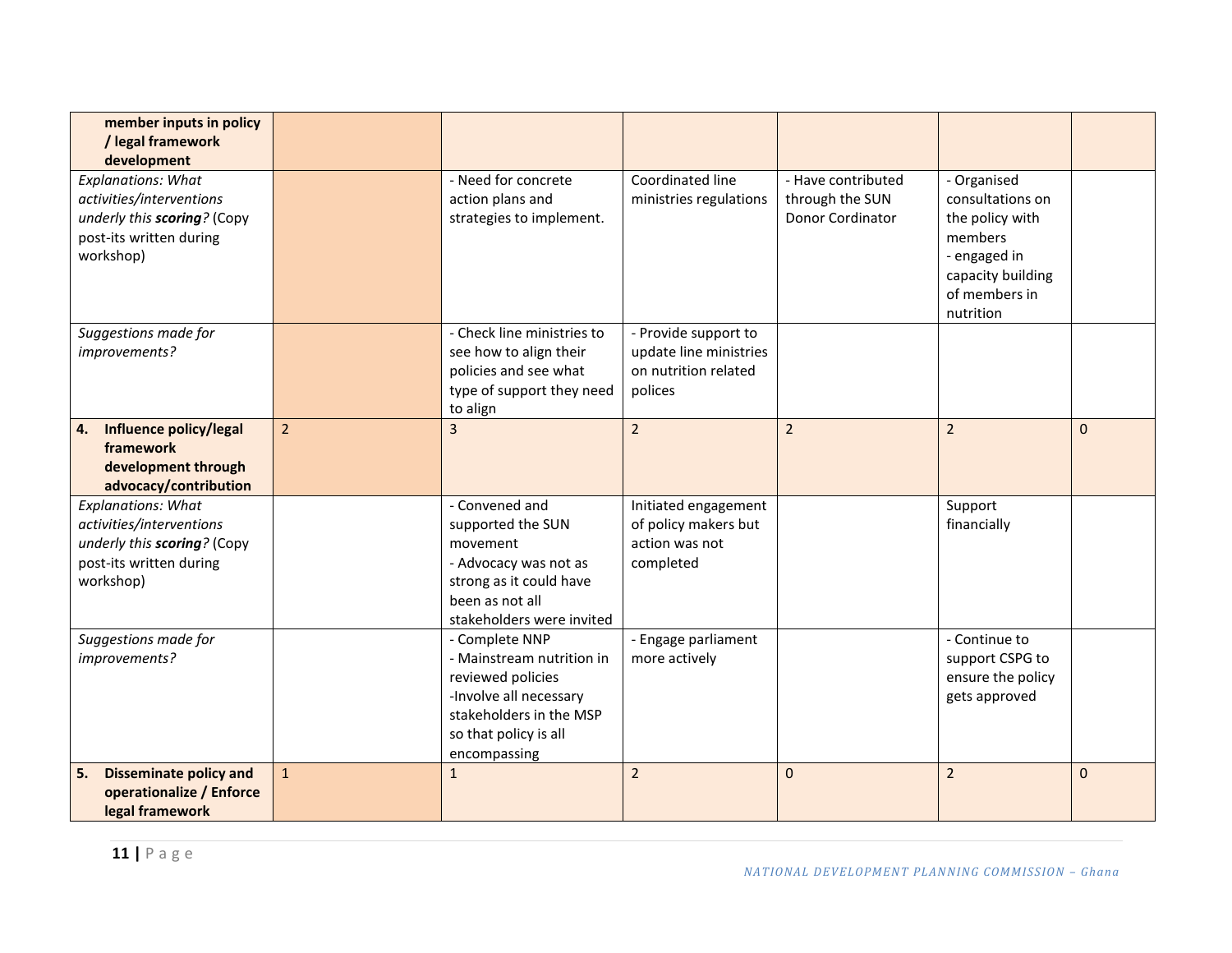| member inputs in policy<br>/ legal framework<br>development                                                                  |                |                                                                                                                                                                |                                                                                   |                                                           |                                                                                                                                  |              |
|------------------------------------------------------------------------------------------------------------------------------|----------------|----------------------------------------------------------------------------------------------------------------------------------------------------------------|-----------------------------------------------------------------------------------|-----------------------------------------------------------|----------------------------------------------------------------------------------------------------------------------------------|--------------|
| <b>Explanations: What</b><br>activities/interventions<br>underly this scoring? (Copy<br>post-its written during<br>workshop) |                | - Need for concrete<br>action plans and<br>strategies to implement.                                                                                            | Coordinated line<br>ministries regulations                                        | - Have contributed<br>through the SUN<br>Donor Cordinator | - Organised<br>consultations on<br>the policy with<br>members<br>- engaged in<br>capacity building<br>of members in<br>nutrition |              |
| Suggestions made for<br>improvements?                                                                                        |                | - Check line ministries to<br>see how to align their<br>policies and see what<br>type of support they need<br>to align                                         | - Provide support to<br>update line ministries<br>on nutrition related<br>polices |                                                           |                                                                                                                                  |              |
| Influence policy/legal<br>4.<br>framework<br>development through<br>advocacy/contribution                                    | $\overline{2}$ | 3                                                                                                                                                              | $\overline{2}$                                                                    | $\overline{2}$                                            | $\overline{2}$                                                                                                                   | $\mathbf{0}$ |
| <b>Explanations: What</b><br>activities/interventions<br>underly this scoring? (Copy<br>post-its written during<br>workshop) |                | - Convened and<br>supported the SUN<br>movement<br>- Advocacy was not as<br>strong as it could have<br>been as not all<br>stakeholders were invited            | Initiated engagement<br>of policy makers but<br>action was not<br>completed       |                                                           | Support<br>financially                                                                                                           |              |
| Suggestions made for<br>improvements?                                                                                        |                | - Complete NNP<br>- Mainstream nutrition in<br>reviewed policies<br>-Involve all necessary<br>stakeholders in the MSP<br>so that policy is all<br>encompassing | - Engage parliament<br>more actively                                              |                                                           | - Continue to<br>support CSPG to<br>ensure the policy<br>gets approved                                                           |              |
| <b>Disseminate policy and</b><br>5.<br>operationalize / Enforce<br>legal framework                                           | $\mathbf{1}$   | $\mathbf{1}$                                                                                                                                                   | $\overline{2}$                                                                    | $\mathbf 0$                                               | $\overline{2}$                                                                                                                   | $\mathbf{0}$ |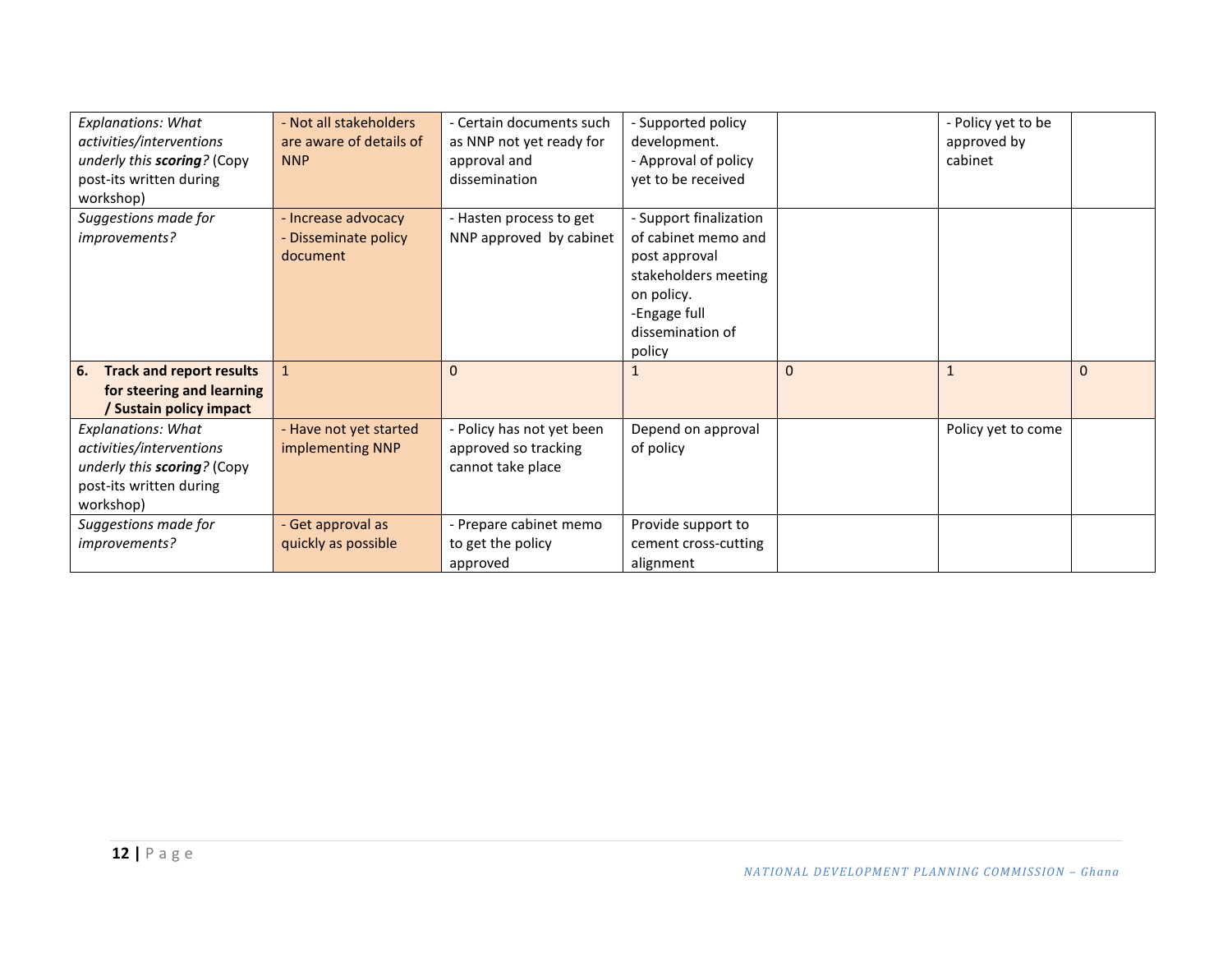| <b>Explanations: What</b>             | - Not all stakeholders  | - Certain documents such  | - Supported policy     |          | - Policy yet to be |          |
|---------------------------------------|-------------------------|---------------------------|------------------------|----------|--------------------|----------|
| activities/interventions              | are aware of details of | as NNP not yet ready for  | development.           |          | approved by        |          |
| underly this scoring? (Copy           | <b>NNP</b>              | approval and              | - Approval of policy   |          | cabinet            |          |
| post-its written during               |                         | dissemination             | yet to be received     |          |                    |          |
| workshop)                             |                         |                           |                        |          |                    |          |
| Suggestions made for                  | - Increase advocacy     | - Hasten process to get   | - Support finalization |          |                    |          |
| improvements?                         | Disseminate policy      | NNP approved by cabinet   | of cabinet memo and    |          |                    |          |
|                                       | document                |                           | post approval          |          |                    |          |
|                                       |                         |                           | stakeholders meeting   |          |                    |          |
|                                       |                         |                           | on policy.             |          |                    |          |
|                                       |                         |                           | -Engage full           |          |                    |          |
|                                       |                         |                           | dissemination of       |          |                    |          |
|                                       |                         |                           | policy                 |          |                    |          |
| <b>Track and report results</b><br>6. |                         | $\Omega$                  |                        | $\Omega$ |                    | $\Omega$ |
| for steering and learning             |                         |                           |                        |          |                    |          |
| <b>Sustain policy impact</b>          |                         |                           |                        |          |                    |          |
| <b>Explanations: What</b>             | - Have not yet started  | - Policy has not yet been | Depend on approval     |          | Policy yet to come |          |
| activities/interventions              | implementing NNP        | approved so tracking      | of policy              |          |                    |          |
| underly this scoring? (Copy           |                         | cannot take place         |                        |          |                    |          |
| post-its written during               |                         |                           |                        |          |                    |          |
|                                       |                         |                           |                        |          |                    |          |
| workshop)                             |                         |                           |                        |          |                    |          |
| Suggestions made for                  | - Get approval as       | - Prepare cabinet memo    | Provide support to     |          |                    |          |
| improvements?                         | quickly as possible     | to get the policy         | cement cross-cutting   |          |                    |          |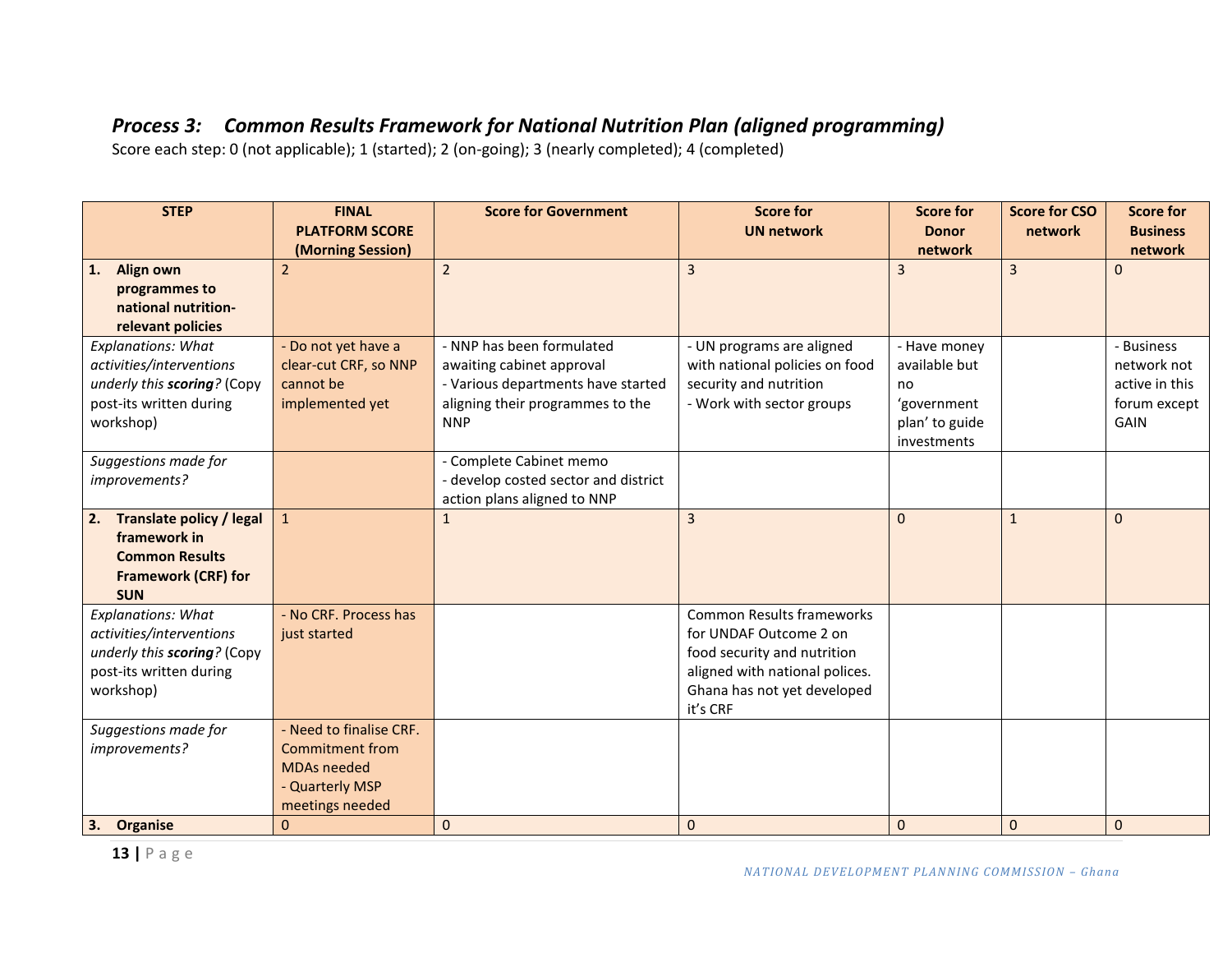### *Process 3: Common Results Framework for National Nutrition Plan (aligned programming)*

| <b>STEP</b>                                                                                                                  | <b>FINAL</b><br><b>PLATFORM SCORE</b><br>(Morning Session)                                                                    | <b>Score for Government</b>                                                                                                                    | <b>Score for</b><br><b>UN network</b>                                                                                                                                  | <b>Score for</b><br><b>Donor</b><br>network                                         | <b>Score for CSO</b><br>network | <b>Score for</b><br><b>Business</b><br>network                             |
|------------------------------------------------------------------------------------------------------------------------------|-------------------------------------------------------------------------------------------------------------------------------|------------------------------------------------------------------------------------------------------------------------------------------------|------------------------------------------------------------------------------------------------------------------------------------------------------------------------|-------------------------------------------------------------------------------------|---------------------------------|----------------------------------------------------------------------------|
| <b>Align own</b><br>1.<br>programmes to<br>national nutrition-<br>relevant policies                                          | $\overline{2}$                                                                                                                | $\overline{2}$                                                                                                                                 | 3                                                                                                                                                                      | $\overline{3}$                                                                      | 3                               | $\Omega$                                                                   |
| <b>Explanations: What</b><br>activities/interventions<br>underly this scoring? (Copy<br>post-its written during<br>workshop) | - Do not yet have a<br>clear-cut CRF, so NNP<br>cannot be<br>implemented yet                                                  | - NNP has been formulated<br>awaiting cabinet approval<br>- Various departments have started<br>aligning their programmes to the<br><b>NNP</b> | - UN programs are aligned<br>with national policies on food<br>security and nutrition<br>- Work with sector groups                                                     | - Have money<br>available but<br>no<br>'government<br>plan' to guide<br>investments |                                 | - Business<br>network not<br>active in this<br>forum except<br><b>GAIN</b> |
| Suggestions made for<br>improvements?                                                                                        |                                                                                                                               | - Complete Cabinet memo<br>- develop costed sector and district<br>action plans aligned to NNP                                                 |                                                                                                                                                                        |                                                                                     |                                 |                                                                            |
| <b>Translate policy / legal</b><br>2.<br>framework in<br><b>Common Results</b><br><b>Framework (CRF) for</b><br><b>SUN</b>   | $\mathbf{1}$                                                                                                                  | 1                                                                                                                                              | $\overline{3}$                                                                                                                                                         | $\Omega$                                                                            | $\mathbf{1}$                    | $\mathbf{0}$                                                               |
| <b>Explanations: What</b><br>activities/interventions<br>underly this scoring? (Copy<br>post-its written during<br>workshop) | - No CRF. Process has<br>just started                                                                                         |                                                                                                                                                | <b>Common Results frameworks</b><br>for UNDAF Outcome 2 on<br>food security and nutrition<br>aligned with national polices.<br>Ghana has not yet developed<br>it's CRF |                                                                                     |                                 |                                                                            |
| Suggestions made for<br>improvements?<br>Organise<br>3.                                                                      | - Need to finalise CRF.<br><b>Commitment from</b><br><b>MDAs needed</b><br>- Quarterly MSP<br>meetings needed<br>$\mathbf{0}$ | $\mathbf{0}$                                                                                                                                   | $\overline{0}$                                                                                                                                                         | $\mathbf{0}$                                                                        | $\mathbf{0}$                    | $\mathbf{0}$                                                               |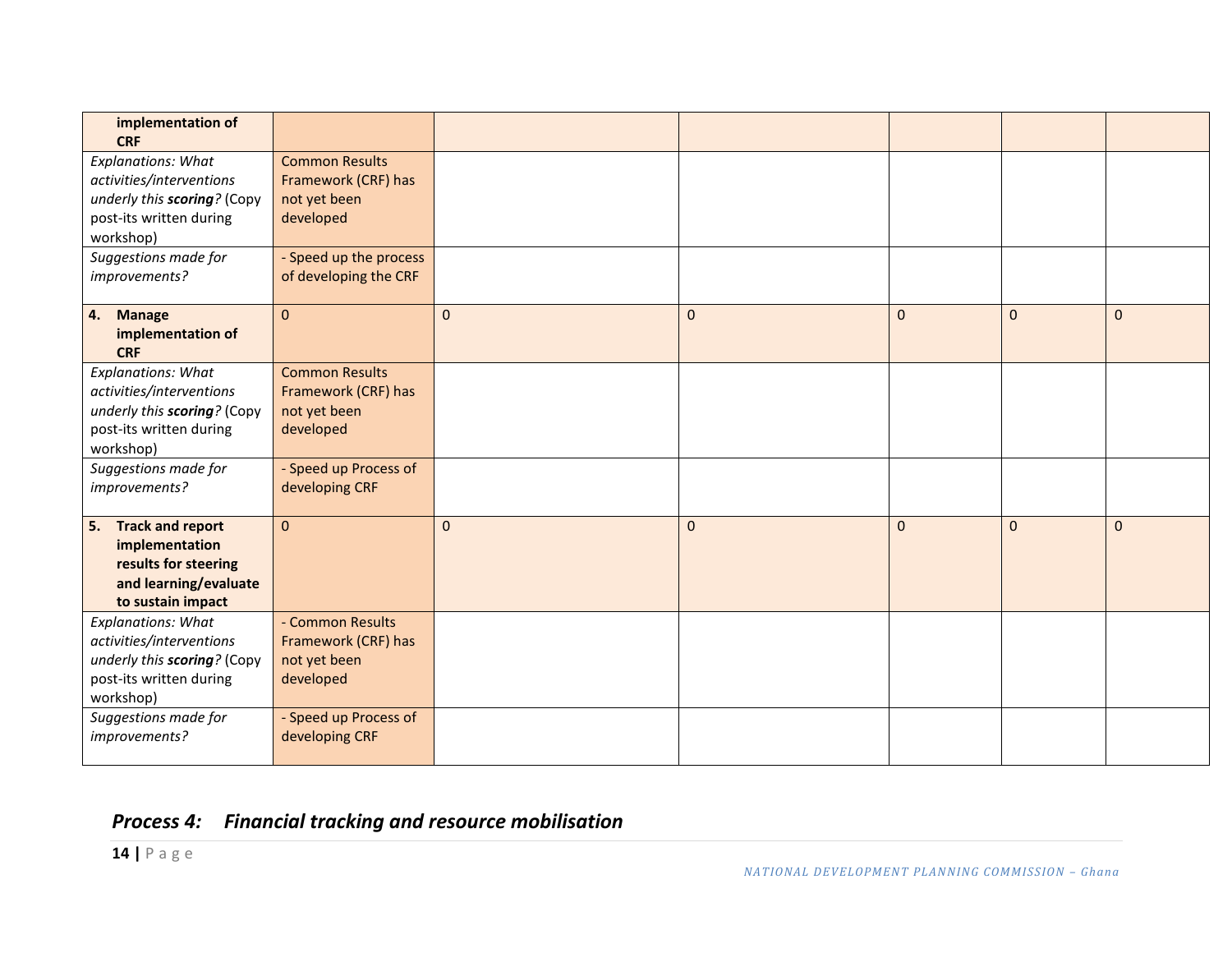| implementation of<br><b>CRF</b>                                                                                              |                                                                           |              |              |              |                |              |
|------------------------------------------------------------------------------------------------------------------------------|---------------------------------------------------------------------------|--------------|--------------|--------------|----------------|--------------|
| <b>Explanations: What</b><br>activities/interventions<br>underly this scoring? (Copy<br>post-its written during<br>workshop) | <b>Common Results</b><br>Framework (CRF) has<br>not yet been<br>developed |              |              |              |                |              |
| Suggestions made for<br>improvements?                                                                                        | - Speed up the process<br>of developing the CRF                           |              |              |              |                |              |
| <b>Manage</b><br>4.<br>implementation of<br><b>CRF</b>                                                                       | $\mathbf{0}$                                                              | $\mathbf{0}$ | $\mathbf{0}$ | $\Omega$     | $\overline{0}$ | $\mathbf{0}$ |
| <b>Explanations: What</b><br>activities/interventions<br>underly this scoring? (Copy<br>post-its written during<br>workshop) | <b>Common Results</b><br>Framework (CRF) has<br>not yet been<br>developed |              |              |              |                |              |
| Suggestions made for<br>improvements?                                                                                        | - Speed up Process of<br>developing CRF                                   |              |              |              |                |              |
| <b>Track and report</b><br>5.<br>implementation<br>results for steering<br>and learning/evaluate<br>to sustain impact        | $\mathbf 0$                                                               | $\mathbf{0}$ | $\mathbf{0}$ | $\mathbf{0}$ | $\mathbf{0}$   | $\mathbf{0}$ |
| <b>Explanations: What</b><br>activities/interventions<br>underly this scoring? (Copy<br>post-its written during<br>workshop) | - Common Results<br>Framework (CRF) has<br>not yet been<br>developed      |              |              |              |                |              |
| Suggestions made for<br>improvements?                                                                                        | - Speed up Process of<br>developing CRF                                   |              |              |              |                |              |

# *Process 4: Financial tracking and resource mobilisation*

**14 |** P a g e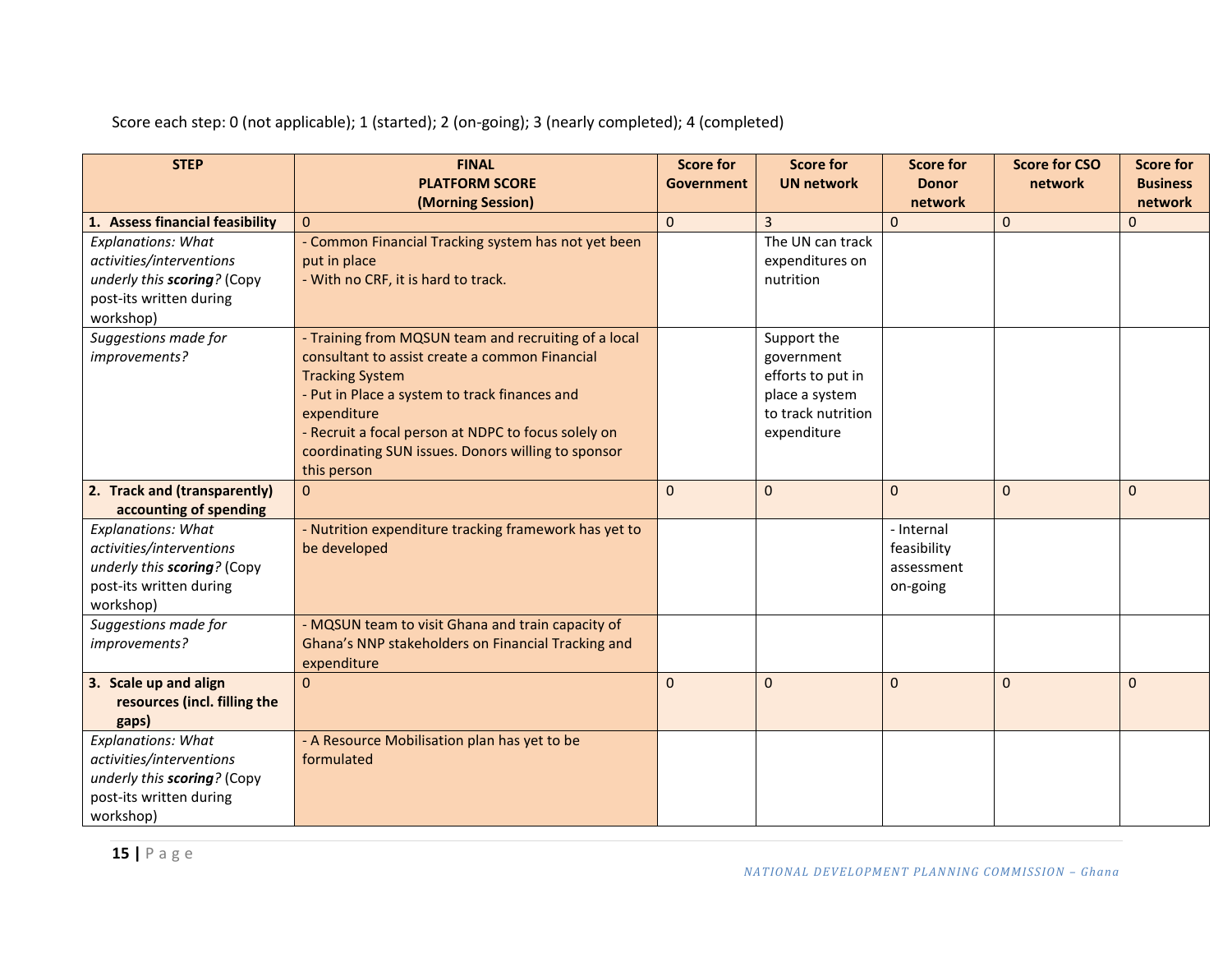| <b>STEP</b>                                             | <b>FINAL</b>                                          | <b>Score for</b>  | <b>Score for</b>   | <b>Score for</b>          | <b>Score for CSO</b> | <b>Score for</b> |
|---------------------------------------------------------|-------------------------------------------------------|-------------------|--------------------|---------------------------|----------------------|------------------|
|                                                         | <b>PLATFORM SCORE</b>                                 | <b>Government</b> | <b>UN network</b>  | <b>Donor</b>              | network              | <b>Business</b>  |
|                                                         | (Morning Session)                                     |                   |                    | network                   |                      | network          |
| 1. Assess financial feasibility                         | $\Omega$                                              | $\Omega$          | $\overline{3}$     | $\mathbf{0}$              | $\mathbf 0$          | $\overline{0}$   |
| <b>Explanations: What</b>                               | - Common Financial Tracking system has not yet been   |                   | The UN can track   |                           |                      |                  |
| activities/interventions                                | put in place                                          |                   | expenditures on    |                           |                      |                  |
| underly this scoring? (Copy                             | - With no CRF, it is hard to track.                   |                   | nutrition          |                           |                      |                  |
| post-its written during                                 |                                                       |                   |                    |                           |                      |                  |
| workshop)                                               |                                                       |                   |                    |                           |                      |                  |
| Suggestions made for                                    | - Training from MQSUN team and recruiting of a local  |                   | Support the        |                           |                      |                  |
| improvements?                                           | consultant to assist create a common Financial        |                   | government         |                           |                      |                  |
|                                                         | <b>Tracking System</b>                                |                   | efforts to put in  |                           |                      |                  |
|                                                         | - Put in Place a system to track finances and         |                   | place a system     |                           |                      |                  |
|                                                         | expenditure                                           |                   | to track nutrition |                           |                      |                  |
|                                                         | - Recruit a focal person at NDPC to focus solely on   |                   | expenditure        |                           |                      |                  |
|                                                         | coordinating SUN issues. Donors willing to sponsor    |                   |                    |                           |                      |                  |
|                                                         | this person                                           |                   |                    |                           |                      |                  |
| 2. Track and (transparently)                            | $\overline{0}$                                        | $\mathbf 0$       | $\mathbf{0}$       | $\mathbf{0}$              | $\mathbf{0}$         | $\mathbf 0$      |
| accounting of spending                                  |                                                       |                   |                    |                           |                      |                  |
| <b>Explanations: What</b>                               | - Nutrition expenditure tracking framework has yet to |                   |                    | - Internal                |                      |                  |
| activities/interventions<br>underly this scoring? (Copy | be developed                                          |                   |                    | feasibility<br>assessment |                      |                  |
| post-its written during                                 |                                                       |                   |                    | on-going                  |                      |                  |
| workshop)                                               |                                                       |                   |                    |                           |                      |                  |
| Suggestions made for                                    | - MQSUN team to visit Ghana and train capacity of     |                   |                    |                           |                      |                  |
| improvements?                                           | Ghana's NNP stakeholders on Financial Tracking and    |                   |                    |                           |                      |                  |
|                                                         | expenditure                                           |                   |                    |                           |                      |                  |
| 3. Scale up and align                                   | $\Omega$                                              | $\Omega$          | $\mathbf{0}$       | $\mathbf{0}$              | $\Omega$             | $\mathbf 0$      |
| resources (incl. filling the                            |                                                       |                   |                    |                           |                      |                  |
| gaps)                                                   |                                                       |                   |                    |                           |                      |                  |
| <b>Explanations: What</b>                               | - A Resource Mobilisation plan has yet to be          |                   |                    |                           |                      |                  |
| activities/interventions                                | formulated                                            |                   |                    |                           |                      |                  |
| underly this scoring? (Copy                             |                                                       |                   |                    |                           |                      |                  |
| post-its written during                                 |                                                       |                   |                    |                           |                      |                  |
| workshop)                                               |                                                       |                   |                    |                           |                      |                  |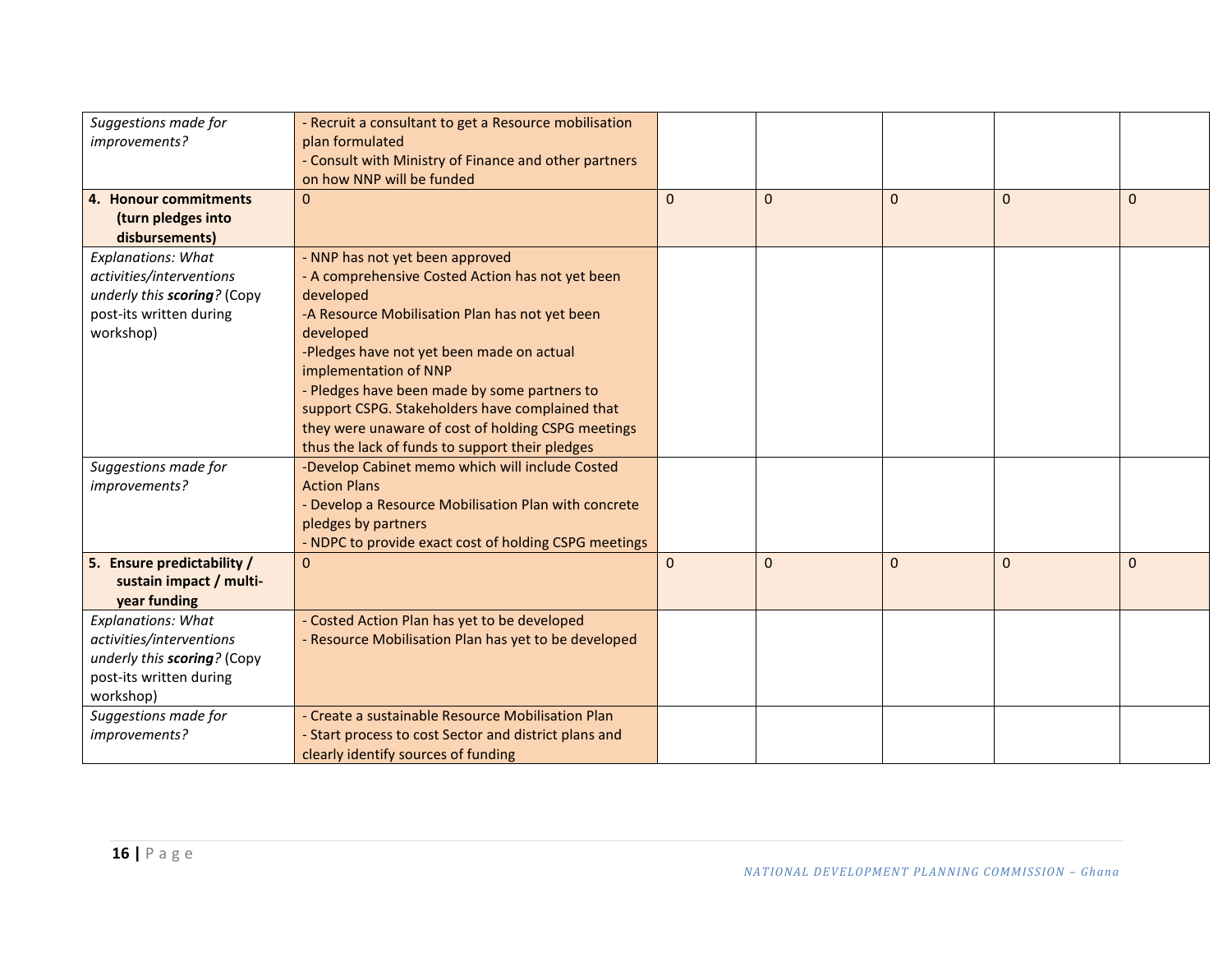| Suggestions made for<br>improvements? | - Recruit a consultant to get a Resource mobilisation<br>plan formulated<br>- Consult with Ministry of Finance and other partners |             |                |              |             |              |
|---------------------------------------|-----------------------------------------------------------------------------------------------------------------------------------|-------------|----------------|--------------|-------------|--------------|
|                                       | on how NNP will be funded                                                                                                         |             |                |              |             |              |
| 4. Honour commitments                 | 0                                                                                                                                 | $\Omega$    | $\overline{0}$ | $\Omega$     | $\Omega$    | $\Omega$     |
| (turn pledges into                    |                                                                                                                                   |             |                |              |             |              |
| disbursements)                        |                                                                                                                                   |             |                |              |             |              |
| <b>Explanations: What</b>             | - NNP has not yet been approved                                                                                                   |             |                |              |             |              |
| activities/interventions              | - A comprehensive Costed Action has not yet been                                                                                  |             |                |              |             |              |
| underly this scoring? (Copy           | developed                                                                                                                         |             |                |              |             |              |
| post-its written during               | -A Resource Mobilisation Plan has not yet been                                                                                    |             |                |              |             |              |
| workshop)                             | developed                                                                                                                         |             |                |              |             |              |
|                                       | -Pledges have not yet been made on actual                                                                                         |             |                |              |             |              |
|                                       | implementation of NNP                                                                                                             |             |                |              |             |              |
|                                       | - Pledges have been made by some partners to                                                                                      |             |                |              |             |              |
|                                       | support CSPG. Stakeholders have complained that                                                                                   |             |                |              |             |              |
|                                       | they were unaware of cost of holding CSPG meetings                                                                                |             |                |              |             |              |
|                                       | thus the lack of funds to support their pledges                                                                                   |             |                |              |             |              |
| Suggestions made for                  | -Develop Cabinet memo which will include Costed                                                                                   |             |                |              |             |              |
| improvements?                         | <b>Action Plans</b>                                                                                                               |             |                |              |             |              |
|                                       | - Develop a Resource Mobilisation Plan with concrete                                                                              |             |                |              |             |              |
|                                       | pledges by partners                                                                                                               |             |                |              |             |              |
|                                       | - NDPC to provide exact cost of holding CSPG meetings                                                                             |             |                |              |             |              |
| 5. Ensure predictability /            | $\overline{0}$                                                                                                                    | $\mathbf 0$ | $\mathbf 0$    | $\mathbf{0}$ | $\mathbf 0$ | $\mathbf{0}$ |
| sustain impact / multi-               |                                                                                                                                   |             |                |              |             |              |
| year funding                          |                                                                                                                                   |             |                |              |             |              |
| <b>Explanations: What</b>             | - Costed Action Plan has yet to be developed                                                                                      |             |                |              |             |              |
| activities/interventions              | - Resource Mobilisation Plan has yet to be developed                                                                              |             |                |              |             |              |
| underly this scoring? (Copy           |                                                                                                                                   |             |                |              |             |              |
| post-its written during               |                                                                                                                                   |             |                |              |             |              |
| workshop)                             |                                                                                                                                   |             |                |              |             |              |
| Suggestions made for                  | - Create a sustainable Resource Mobilisation Plan                                                                                 |             |                |              |             |              |
| improvements?                         | - Start process to cost Sector and district plans and                                                                             |             |                |              |             |              |
|                                       | clearly identify sources of funding                                                                                               |             |                |              |             |              |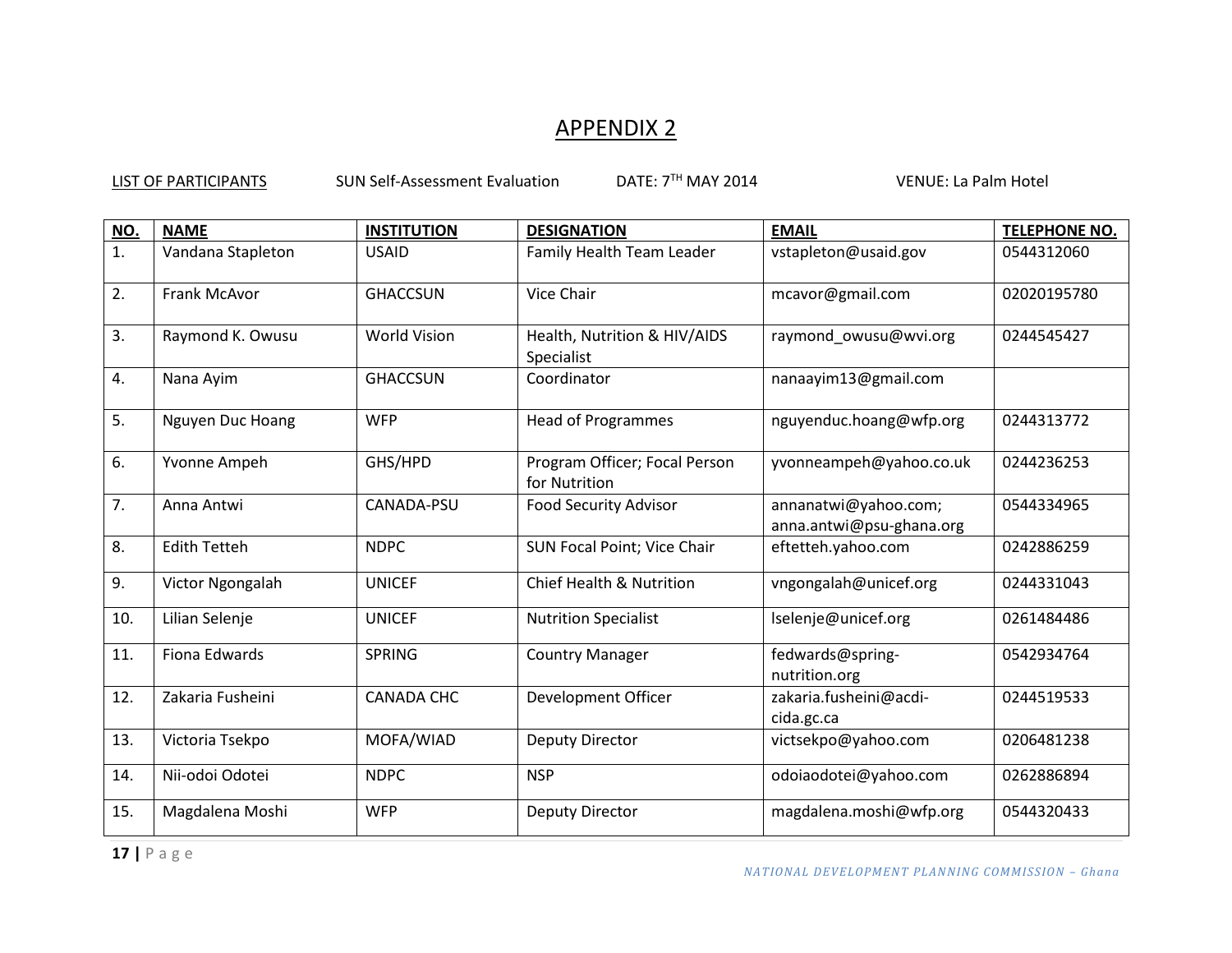# APPENDIX 2

| NO. | <b>NAME</b>             | <b>INSTITUTION</b>  | <b>DESIGNATION</b>                             | <b>EMAIL</b>                                     | <b>TELEPHONE NO.</b> |
|-----|-------------------------|---------------------|------------------------------------------------|--------------------------------------------------|----------------------|
| 1.  | Vandana Stapleton       | <b>USAID</b>        | Family Health Team Leader                      | vstapleton@usaid.gov                             | 0544312060           |
| 2.  | Frank McAvor            | <b>GHACCSUN</b>     | Vice Chair                                     | mcavor@gmail.com                                 | 02020195780          |
| 3.  | Raymond K. Owusu        | <b>World Vision</b> | Health, Nutrition & HIV/AIDS<br>Specialist     | raymond_owusu@wvi.org                            | 0244545427           |
| 4.  | Nana Ayim               | <b>GHACCSUN</b>     | Coordinator                                    | nanaayim13@gmail.com                             |                      |
| 5.  | <b>Nguyen Duc Hoang</b> | <b>WFP</b>          | <b>Head of Programmes</b>                      | nguyenduc.hoang@wfp.org                          | 0244313772           |
| 6.  | Yvonne Ampeh            | GHS/HPD             | Program Officer; Focal Person<br>for Nutrition | yvonneampeh@yahoo.co.uk                          | 0244236253           |
| 7.  | Anna Antwi              | CANADA-PSU          | <b>Food Security Advisor</b>                   | annanatwi@yahoo.com;<br>anna.antwi@psu-ghana.org | 0544334965           |
| 8.  | <b>Edith Tetteh</b>     | <b>NDPC</b>         | SUN Focal Point; Vice Chair                    | eftetteh.yahoo.com                               | 0242886259           |
| 9.  | Victor Ngongalah        | <b>UNICEF</b>       | <b>Chief Health &amp; Nutrition</b>            | vngongalah@unicef.org                            | 0244331043           |
| 10. | Lilian Selenje          | <b>UNICEF</b>       | <b>Nutrition Specialist</b>                    | Iselenje@unicef.org                              | 0261484486           |
| 11. | Fiona Edwards           | <b>SPRING</b>       | <b>Country Manager</b>                         | fedwards@spring-<br>nutrition.org                | 0542934764           |
| 12. | Zakaria Fusheini        | <b>CANADA CHC</b>   | Development Officer                            | zakaria.fusheini@acdi-<br>cida.gc.ca             | 0244519533           |
| 13. | Victoria Tsekpo         | MOFA/WIAD           | Deputy Director                                | victsekpo@yahoo.com                              | 0206481238           |
| 14. | Nii-odoi Odotei         | <b>NDPC</b>         | <b>NSP</b>                                     | odoiaodotei@yahoo.com                            | 0262886894           |
| 15. | Magdalena Moshi         | <b>WFP</b>          | <b>Deputy Director</b>                         | magdalena.moshi@wfp.org                          | 0544320433           |

LIST OF PARTICIPANTS SUN Self-Assessment Evaluation DATE: 7<sup>TH</sup> MAY 2014 VENUE: La Palm Hotel

**17 |** P a g e